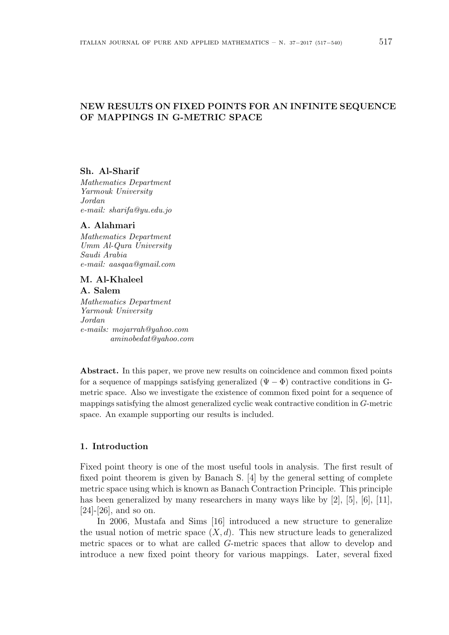# **NEW RESULTS ON FIXED POINTS FOR AN INFINITE SEQUENCE OF MAPPINGS IN G-METRIC SPACE**

#### **Sh. Al-Sharif**

*Mathematics Department Yarmouk University Jordan e-mail: sharifa@yu.edu.jo*

### **A. Alahmari**

*Mathematics Department Umm Al-Qura University Saudi Arabia e-mail: aasqaa@gmail.com*

## **M. Al-Khaleel A. Salem**

*Mathematics Department Yarmouk University Jordan e-mails: mojarrah@yahoo.com aminobedat@yahoo.com*

**Abstract.** In this paper, we prove new results on coincidence and common fixed points for a sequence of mappings satisfying generalized  $(\Psi - \Phi)$  contractive conditions in Gmetric space. Also we investigate the existence of common fixed point for a sequence of mappings satisfying the almost generalized cyclic weak contractive condition in *G*-metric space. An example supporting our results is included.

#### **1. Introduction**

Fixed point theory is one of the most useful tools in analysis. The first result of fixed point theorem is given by Banach S. [4] by the general setting of complete metric space using which is known as Banach Contraction Principle. This principle has been generalized by many researchers in many ways like by [2], [5], [6], [11], [24]-[26], and so on.

In 2006, Mustafa and Sims [16] introduced a new structure to generalize the usual notion of metric space  $(X, d)$ . This new structure leads to generalized metric spaces or to what are called *G*-metric spaces that allow to develop and introduce a new fixed point theory for various mappings. Later, several fixed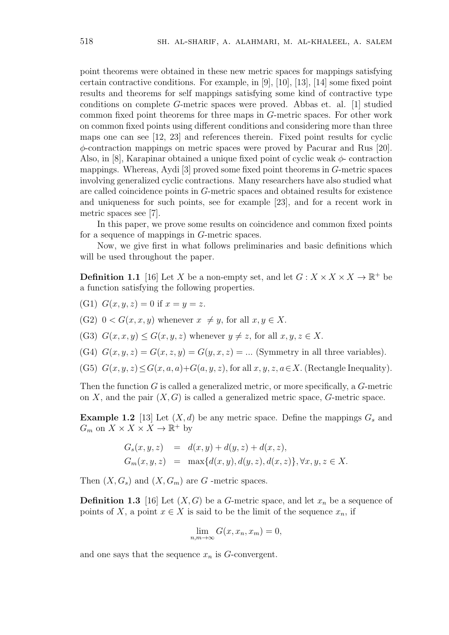point theorems were obtained in these new metric spaces for mappings satisfying certain contractive conditions. For example, in [9], [10], [13], [14] some fixed point results and theorems for self mappings satisfying some kind of contractive type conditions on complete *G*-metric spaces were proved. Abbas et. al. [1] studied common fixed point theorems for three maps in *G*-metric spaces. For other work on common fixed points using different conditions and considering more than three maps one can see [12, 23] and references therein. Fixed point results for cyclic *ϕ*-contraction mappings on metric spaces were proved by Pacurar and Rus [20]. Also, in [8], Karapinar obtained a unique fixed point of cyclic weak *ϕ*- contraction mappings. Whereas, Aydi [3] proved some fixed point theorems in *G*-metric spaces involving generalized cyclic contractions. Many researchers have also studied what are called coincidence points in *G*-metric spaces and obtained results for existence and uniqueness for such points, see for example [23], and for a recent work in metric spaces see [7].

In this paper, we prove some results on coincidence and common fixed points for a sequence of mappings in *G*-metric spaces.

Now, we give first in what follows preliminaries and basic definitions which will be used throughout the paper.

**Definition 1.1** [16] Let *X* be a non-empty set, and let  $G: X \times X \times X \to \mathbb{R}^+$  be a function satisfying the following properties.

(G1)  $G(x, y, z) = 0$  if  $x = y = z$ .

(G2)  $0 < G(x, x, y)$  whenever  $x \neq y$ , for all  $x, y \in X$ .

(G3)  $G(x, x, y) \le G(x, y, z)$  whenever  $y \ne z$ , for all  $x, y, z \in X$ .

(G4)  $G(x, y, z) = G(x, z, y) = G(y, x, z) = \dots$  (Symmetry in all three variables).

(G5)  $G(x, y, z) \le G(x, a, a) + G(a, y, z)$ , for all  $x, y, z, a \in X$ . (Rectangle Inequality).

Then the function *G* is called a generalized metric, or more specifically, a *G*-metric on  $X$ , and the pair  $(X, G)$  is called a generalized metric space,  $G$ -metric space.

**Example 1.2** [13] Let  $(X, d)$  be any metric space. Define the mappings  $G_s$  and  $G_m$  on  $X \times X \times X \to \mathbb{R}^+$  by

$$
G_s(x, y, z) = d(x, y) + d(y, z) + d(x, z),
$$
  
\n
$$
G_m(x, y, z) = \max\{d(x, y), d(y, z), d(x, z)\}, \forall x, y, z \in X.
$$

Then  $(X, G_s)$  and  $(X, G_m)$  are *G*-metric spaces.

**Definition 1.3** [16] Let  $(X, G)$  be a *G*-metric space, and let  $x_n$  be a sequence of points of *X*, a point  $x \in X$  is said to be the limit of the sequence  $x_n$ , if

$$
\lim_{n,m \to \infty} G(x, x_n, x_m) = 0,
$$

and one says that the sequence  $x_n$  is  $G$ -convergent.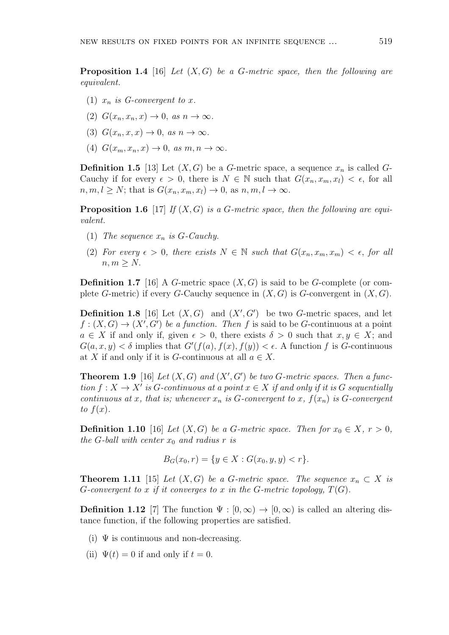**Proposition 1.4** [16] *Let* (*X, G*) *be a G-metric space, then the following are equivalent.*

- (1)  $x_n$  *is G-convergent to x.*
- $(2)$   $G(x_n, x_n, x) \rightarrow 0$ , *as*  $n \rightarrow \infty$ .
- (3)  $G(x_n, x, x) \to 0$ , as  $n \to \infty$ .
- $(4)$   $G(x_m, x_n, x) \rightarrow 0$ , *as*  $m, n \rightarrow \infty$ .

**Definition 1.5** [13] Let  $(X, G)$  be a *G*-metric space, a sequence  $x_n$  is called *G*-Cauchy if for every  $\epsilon > 0$ , there is  $N \in \mathbb{N}$  such that  $G(x_n, x_m, x_l) < \epsilon$ , for all  $n, m, l \geq N$ ; that is  $G(x_n, x_m, x_l) \to 0$ , as  $n, m, l \to \infty$ .

**Proposition 1.6** [17] *If* (*X, G*) *is a G-metric space, then the following are equivalent.*

- (1) *The sequence*  $x_n$  *is*  $G$ *-Cauchy.*
- (2) For every  $\epsilon > 0$ , there exists  $N \in \mathbb{N}$  such that  $G(x_n, x_m, x_m) < \epsilon$ , for all  $n, m \geq N$ .

**Definition 1.7** [16] A *G*-metric space (*X, G*) is said to be *G*-complete (or complete *G*-metric) if every *G*-Cauchy sequence in  $(X, G)$  is *G*-convergent in  $(X, G)$ .

**Definition 1.8** [16] Let  $(X, G)$  and  $(X', G')$  be two *G*-metric spaces, and let  $f:(X, G) \to (X', G')$  *be a function. Then f* is said to be *G*-continuous at a point  $a \in X$  if and only if, given  $\epsilon > 0$ , there exists  $\delta > 0$  such that  $x, y \in X$ ; and  $G(a, x, y) < \delta$  implies that  $G'(f(a), f(x), f(y)) < \epsilon$ . A function *f* is *G*-continuous at *X* if and only if it is *G*-continuous at all  $a \in X$ .

**Theorem 1.9** [16] *Let*  $(X, G)$  *and*  $(X', G')$  *be two G*-metric spaces. Then a func- $\text{tion } f: X \to X' \text{ is } G\text{-}continuous at a point  $x \in X$  if and only if it is  $G$  sequentially$ *continuous at x, that is; whenever*  $x_n$  *is*  $G$ *-convergent to*  $x$ *,*  $f(x_n)$  *is*  $G$ *-convergent*  $to$   $f(x)$ .

**Definition 1.10** [16] *Let*  $(X, G)$  *be a G-metric space. Then for*  $x_0 \in X, r > 0$ , *the*  $G$ *-ball with center*  $x_0$  *and radius*  $r$  *is* 

$$
B_G(x_0, r) = \{ y \in X : G(x_0, y, y) < r \}.
$$

**Theorem 1.11** [15] *Let*  $(X, G)$  *be a G-metric space. The sequence*  $x_n \subset X$  *is G*-convergent to *x* if it converges to *x* in the *G*-metric topology,  $T(G)$ .

**Definition 1.12** [7] The function  $\Psi : [0, \infty) \to [0, \infty)$  is called an altering distance function, if the following properties are satisfied.

- (i)  $\Psi$  is continuous and non-decreasing.
- (ii)  $\Psi(t) = 0$  if and only if  $t = 0$ .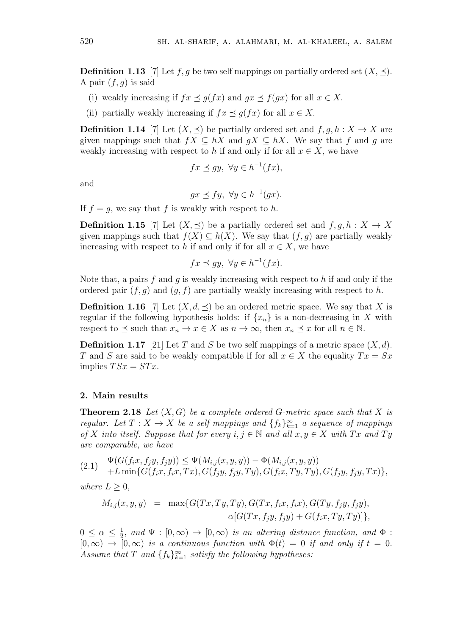**Definition 1.13** [7] Let  $f, g$  be two self mappings on partially ordered set  $(X, \preceq)$ . A pair  $(f, g)$  is said

- (i) weakly increasing if  $fx \leq g(fx)$  and  $gx \leq f(gx)$  for all  $x \in X$ .
- (ii) partially weakly increasing if  $fx \prec q(fx)$  for all  $x \in X$ .

**Definition 1.14** [7] Let  $(X, \prec)$  be partially ordered set and  $f, q, h: X \to X$  are given mappings such that  $fX \subseteq hX$  and  $gX \subseteq hX$ . We say that  $f$  and  $g$  are weakly increasing with respect to *h* if and only if for all  $x \in X$ , we have

$$
fx \preceq gy, \ \forall y \in h^{-1}(fx),
$$

and

$$
gx \preceq fy, \ \forall y \in h^{-1}(gx).
$$

If  $f = g$ , we say that f is weakly with respect to h.

**Definition 1.15** [7] Let  $(X, \preceq)$  be a partially ordered set and  $f, g, h: X \to X$ given mappings such that  $f(X) \subseteq h(X)$ . We say that  $(f, g)$  are partially weakly increasing with respect to *h* if and only if for all  $x \in X$ , we have

$$
fx \preceq gy, \ \forall y \in h^{-1}(fx).
$$

Note that, a pairs *f* and *g* is weakly increasing with respect to *h* if and only if the ordered pair  $(f, g)$  and  $(g, f)$  are partially weakly increasing with respect to *h*.

**Definition 1.16** [7] Let  $(X, d, \leq)$  be an ordered metric space. We say that *X* is regular if the following hypothesis holds: if  $\{x_n\}$  is a non-decreasing in X with respect to  $\preceq$  such that  $x_n \to x \in X$  as  $n \to \infty$ , then  $x_n \preceq x$  for all  $n \in \mathbb{N}$ .

**Definition 1.17** [21] Let *T* and *S* be two self mappings of a metric space  $(X, d)$ . *T* and *S* are said to be weakly compatible if for all  $x \in X$  the equality  $Tx = Sx$ implies  $TSx = STx$ .

#### **2. Main results**

**Theorem 2.18** *Let*  $(X, G)$  *be a complete ordered*  $G$ *-metric space such that*  $X$  *is regular.* Let  $T: X \to X$  be a self mappings and  $\{f_k\}_{k=1}^{\infty}$  a sequence of mappings *of X into itself.* Suppose that for every  $i, j \in \mathbb{N}$  and all  $x, y \in X$  with  $Tx$  and  $Ty$ *are comparable, we have*

$$
(2.1) \quad \Psi(G(f_ix, f_jy, f_jy)) \leq \Psi(M_{i,j}(x, y, y)) - \Phi(M_{i,j}(x, y, y)) \n+ L \min\{G(f_ix, f_ix, Tx), G(f_jy, f_jy, Ty), G(f_ix, Ty, Ty), G(f_jy, f_jy, Tx)\},\
$$

*where*  $L \geq 0$ *,* 

$$
M_{i,j}(x, y, y) = \max\{G(Tx, Ty, Ty), G(Tx, f_i x, f_i x), G(Ty, f_j y, f_j y), \\ \alpha[G(Tx, f_j y, f_j y) + G(f_i x, Ty, Ty)]\},\
$$

 $0 \leq \alpha \leq \frac{1}{2}$  $\frac{1}{2}$ *, and*  $\Psi : [0, \infty) \rightarrow [0, \infty)$  *is an altering distance function, and*  $\Phi$ :  $[0, \infty) \rightarrow [0, \infty)$  *is a continuous function with*  $\Phi(t) = 0$  *if and only if*  $t = 0$ *. Assume that*  $T$  *and*  $\{f_k\}_{k=1}^{\infty}$  *satisfy the following hypotheses:*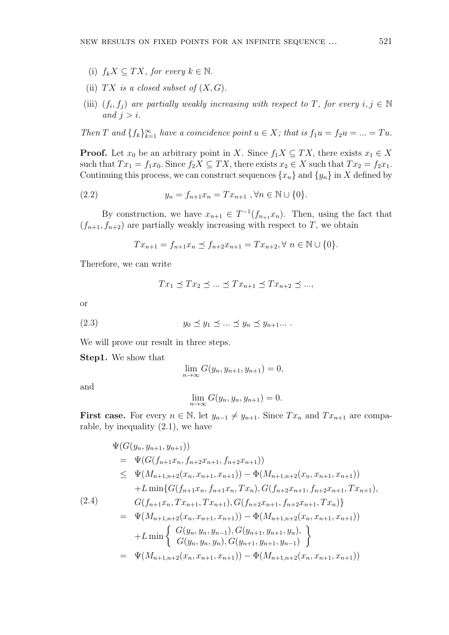- (i)  $f_k X \subseteq TX$ , for every  $k \in \mathbb{N}$ .
- (ii)  $TX$  *is a closed subset of*  $(X, G)$ *.*
- (iii)  $(f_i, f_j)$  are partially weakly increasing with respect to *T*, for every  $i, j \in \mathbb{N}$ *and*  $j > i$ .

*Then T* and  $\{f_k\}_{k=1}^{\infty}$  *have a coincidence point*  $u \in X$ *; that is*  $f_1u = f_2u = ... = Tu$ .

**Proof.** Let  $x_0$  be an arbitrary point in *X*. Since  $f_1 X \subseteq TX$ , there exists  $x_1 \in X$ such that  $Tx_1 = f_1x_0$ . Since  $f_2X \subseteq TX$ , there exists  $x_2 \in X$  such that  $Tx_2 = f_2x_1$ . Continuing this process, we can construct sequences  $\{x_n\}$  and  $\{y_n\}$  in X defined by

(2.2) 
$$
y_n = f_{n+1}x_n = Tx_{n+1}, \forall n \in \mathbb{N} \cup \{0\}.
$$

By construction, we have  $x_{n+1} \in T^{-1}(f_{n+1}x_n)$ . Then, using the fact that  $(f_{n+1}, f_{n+2})$  are partially weakly increasing with respect to *T*, we obtain

$$
Tx_{n+1} = f_{n+1}x_n \le f_{n+2}x_{n+1} = Tx_{n+2}, \forall n \in \mathbb{N} \cup \{0\}.
$$

Therefore, we can write

$$
Tx_1 \preceq Tx_2 \preceq \ldots \preceq Tx_{n+1} \preceq Tx_{n+2} \preceq \ldots,
$$

or

$$
(2.3) \t\t y_0 \preceq y_1 \preceq \ldots \preceq y_n \preceq y_{n+1} \ldots .
$$

We will prove our result in three steps.

**Step1.** We show that

$$
\lim_{n \to \infty} G(y_n, y_{n+1}, y_{n+1}) = 0,
$$

and

$$
\lim_{n \to \infty} G(y_n, y_n, y_{n+1}) = 0.
$$

**First case.** For every  $n \in \mathbb{N}$ , let  $y_{n-1} \neq y_{n+1}$ . Since  $Tx_n$  and  $Tx_{n+1}$  are comparable, by inequality (2.1), we have

$$
\Psi(G(y_n, y_{n+1}, y_{n+1}))
$$
\n
$$
= \Psi(G(f_{n+1}x_n, f_{n+2}x_{n+1}, f_{n+2}x_{n+1}))
$$
\n
$$
\leq \Psi(M_{n+1,n+2}(x_n, x_{n+1}, x_{n+1})) - \Phi(M_{n+1,n+2}(x_n, x_{n+1}, x_{n+1}))
$$
\n
$$
+ L \min\{G(f_{n+1}x_n, f_{n+1}x_n, Tx_n), G(f_{n+2}x_{n+1}, f_{n+2}x_{n+1}, Tx_{n+1}),
$$
\n(2.4)\n
$$
G(f_{n+1}x_n, Tx_{n+1}, Tx_{n+1}), G(f_{n+2}x_{n+1}, f_{n+2}x_{n+1}, Tx_n)\}
$$
\n
$$
= \Psi(M_{n+1,n+2}(x_n, x_{n+1}, x_{n+1})) - \Phi(M_{n+1,n+2}(x_n, x_{n+1}, x_{n+1}))
$$
\n
$$
+ L \min\left\{\n\begin{array}{l}\nG(y_n, y_n, y_{n-1}), G(y_{n+1}, y_{n+1}, y_n), \\
G(y_n, y_n, y_n), G(y_{n+1}, y_{n+1}, y_{n-1})\n\end{array}\n\right\}
$$
\n
$$
= \Psi(M_{n+1,n+2}(x_n, x_{n+1}, x_{n+1})) - \Phi(M_{n+1,n+2}(x_n, x_{n+1}, x_{n+1}))
$$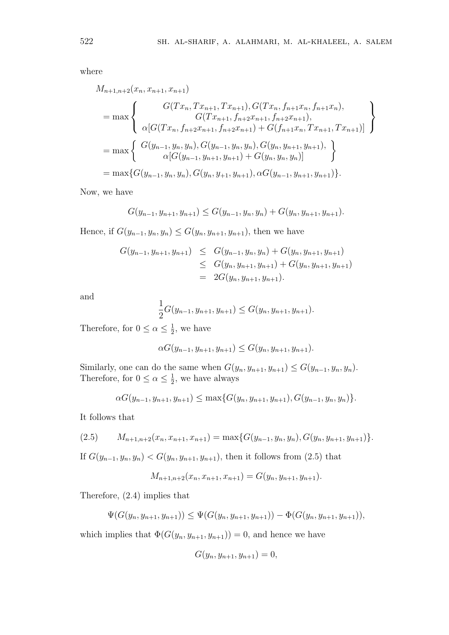where

$$
M_{n+1,n+2}(x_n, x_{n+1}, x_{n+1})
$$
  
= max 
$$
\begin{Bmatrix} G(Tx_n, Tx_{n+1}, Tx_{n+1}), G(Tx_n, f_{n+1}x_n, f_{n+1}x_n), \\ G(Tx_{n+1}, f_{n+2}x_{n+1}, f_{n+2}x_{n+1}), \\ \alpha[G(Tx_n, f_{n+2}x_{n+1}, f_{n+2}x_{n+1}) + G(f_{n+1}x_n, Tx_{n+1}, Tx_{n+1})] \end{Bmatrix}
$$
  
= max 
$$
\begin{Bmatrix} G(y_{n-1}, y_n, y_n), G(y_{n-1}, y_n, y_n), G(y_n, y_{n+1}, y_{n+1}), \\ \alpha[G(y_{n-1}, y_{n+1}, y_{n+1}) + G(y_n, y_n, y_n)] \end{Bmatrix}
$$
  
= max  $\{G(y_{n-1}, y_n, y_n), G(y_n, y_{n+1}, y_{n+1}), \alpha G(y_{n-1}, y_{n+1}, y_{n+1})\}.$ 

Now, we have

$$
G(y_{n-1}, y_{n+1}, y_{n+1}) \le G(y_{n-1}, y_n, y_n) + G(y_n, y_{n+1}, y_{n+1}).
$$

Hence, if  $G(y_{n-1}, y_n, y_n)$  ≤  $G(y_n, y_{n+1}, y_{n+1})$ , then we have

$$
G(y_{n-1}, y_{n+1}, y_{n+1}) \leq G(y_{n-1}, y_n, y_n) + G(y_n, y_{n+1}, y_{n+1})
$$
  
\n
$$
\leq G(y_n, y_{n+1}, y_{n+1}) + G(y_n, y_{n+1}, y_{n+1})
$$
  
\n
$$
= 2G(y_n, y_{n+1}, y_{n+1}).
$$

and

$$
\frac{1}{2}G(y_{n-1}, y_{n+1}, y_{n+1}) \le G(y_n, y_{n+1}, y_{n+1}).
$$

Therefore, for  $0 \leq \alpha \leq \frac{1}{2}$  $\frac{1}{2}$ , we have

$$
\alpha G(y_{n-1}, y_{n+1}, y_{n+1}) \le G(y_n, y_{n+1}, y_{n+1}).
$$

Similarly, one can do the same when  $G(y_n, y_{n+1}, y_{n+1}) \le G(y_{n-1}, y_n, y_n)$ . Therefore, for  $0 \leq \alpha \leq \frac{1}{2}$  $\frac{1}{2}$ , we have always

$$
\alpha G(y_{n-1}, y_{n+1}, y_{n+1}) \leq \max\{G(y_n, y_{n+1}, y_{n+1}), G(y_{n-1}, y_n, y_n)\}.
$$

It follows that

$$
(2.5) \qquad M_{n+1,n+2}(x_n, x_{n+1}, x_{n+1}) = \max\{G(y_{n-1}, y_n, y_n), G(y_n, y_{n+1}, y_{n+1})\}.
$$

If  $G(y_{n-1}, y_n, y_n) < G(y_n, y_{n+1}, y_{n+1})$ , then it follows from (2.5) that

$$
M_{n+1,n+2}(x_n, x_{n+1}, x_{n+1}) = G(y_n, y_{n+1}, y_{n+1}).
$$

Therefore, (2.4) implies that

$$
\Psi(G(y_n, y_{n+1}, y_{n+1})) \leq \Psi(G(y_n, y_{n+1}, y_{n+1})) - \Phi(G(y_n, y_{n+1}, y_{n+1})),
$$

which implies that  $\Phi(G(y_n, y_{n+1}, y_{n+1})) = 0$ , and hence we have

$$
G(y_n, y_{n+1}, y_{n+1}) = 0,
$$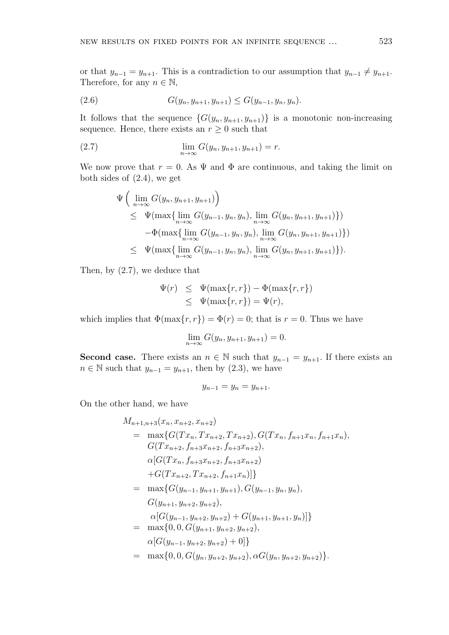or that  $y_{n-1} = y_{n+1}$ . This is a contradiction to our assumption that  $y_{n-1} \neq y_{n+1}$ . Therefore, for any  $n \in \mathbb{N}$ ,

$$
(2.6) \tG(y_n, y_{n+1}, y_{n+1}) \le G(y_{n-1}, y_n, y_n).
$$

It follows that the sequence  $\{G(y_n, y_{n+1}, y_{n+1})\}$  is a monotonic non-increasing sequence. Hence, there exists an  $r \geq 0$  such that

(2.7) 
$$
\lim_{n \to \infty} G(y_n, y_{n+1}, y_{n+1}) = r.
$$

We now prove that  $r = 0$ . As  $\Psi$  and  $\Phi$  are continuous, and taking the limit on both sides of (2.4), we get

$$
\Psi\left(\lim_{n\to\infty} G(y_n, y_{n+1}, y_{n+1})\right) \n\leq \Psi(\max\{\lim_{n\to\infty} G(y_{n-1}, y_n, y_n), \lim_{n\to\infty} G(y_n, y_{n+1}, y_{n+1})\}) \n- \Phi(\max\{\lim_{n\to\infty} G(y_{n-1}, y_n, y_n), \lim_{n\to\infty} G(y_n, y_{n+1}, y_{n+1})\}) \n\leq \Psi(\max\{\lim_{n\to\infty} G(y_{n-1}, y_n, y_n), \lim_{n\to\infty} G(y_n, y_{n+1}, y_{n+1})\}).
$$

Then, by (2.7), we deduce that

$$
\Psi(r) \leq \Psi(\max\{r, r\}) - \Phi(\max\{r, r\})
$$
  

$$
\leq \Psi(\max\{r, r\}) = \Psi(r),
$$

which implies that  $\Phi(\max\{r, r\}) = \Phi(r) = 0$ ; that is  $r = 0$ . Thus we have

$$
\lim_{n \to \infty} G(y_n, y_{n+1}, y_{n+1}) = 0.
$$

**Second case.** There exists an  $n \in \mathbb{N}$  such that  $y_{n-1} = y_{n+1}$ . If there exists an *n* ∈ N such that  $y_{n-1} = y_{n+1}$ , then by (2.3), we have

$$
y_{n-1}=y_n=y_{n+1}.
$$

On the other hand, we have

$$
M_{n+1,n+3}(x_n, x_{n+2}, x_{n+2})
$$
  
=  $\max\{G(Tx_n, Tx_{n+2}, Tx_{n+2}), G(Tx_n, f_{n+1}x_n, f_{n+1}x_n),$   
 $G(Tx_{n+2}, f_{n+3}x_{n+2}, f_{n+3}x_{n+2}),$   
 $\alpha[G(Tx_n, f_{n+3}x_{n+2}, f_{n+3}x_{n+2})$   
+ $G(Tx_{n+2}, Tx_{n+2}, f_{n+1}x_n)]\}$   
=  $\max\{G(y_{n-1}, y_{n+1}, y_{n+1}), G(y_{n-1}, y_n, y_n),$   
 $G(y_{n+1}, y_{n+2}, y_{n+2}),$   
 $\alpha[G(y_{n-1}, y_{n+2}, y_{n+2}) + G(y_{n+1}, y_{n+1}, y_n)]\}$   
=  $\max\{0, 0, G(y_{n+1}, y_{n+2}, y_{n+2}),$   
 $\alpha[G(y_{n-1}, y_{n+2}, y_{n+2}) + 0]\}$   
=  $\max\{0, 0, G(y_n, y_{n+2}, y_{n+2}), \alpha G(y_n, y_{n+2}, y_{n+2})\}.$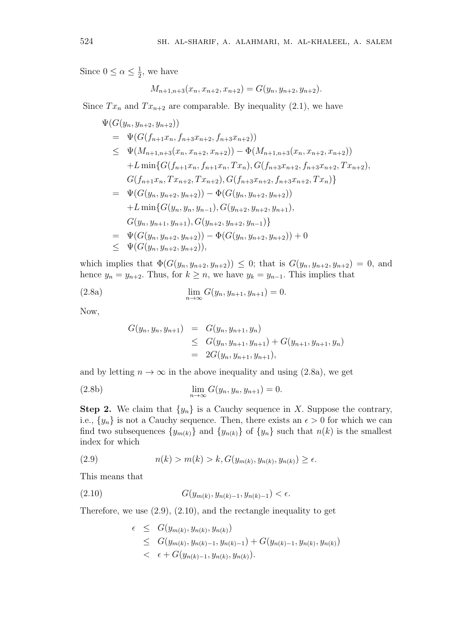Since  $0 \leq \alpha \leq \frac{1}{2}$  $\frac{1}{2}$ , we have

$$
M_{n+1,n+3}(x_n, x_{n+2}, x_{n+2}) = G(y_n, y_{n+2}, y_{n+2}).
$$

Since  $Tx_n$  and  $Tx_{n+2}$  are comparable. By inequality (2.1), we have

$$
\Psi(G(y_n, y_{n+2}, y_{n+2}))
$$
\n
$$
= \Psi(G(f_{n+1}x_n, f_{n+3}x_{n+2}, f_{n+3}x_{n+2}))
$$
\n
$$
\leq \Psi(M_{n+1,n+3}(x_n, x_{n+2}, x_{n+2})) - \Phi(M_{n+1,n+3}(x_n, x_{n+2}, x_{n+2}))
$$
\n
$$
+ L \min\{G(f_{n+1}x_n, f_{n+1}x_n, Tx_n), G(f_{n+3}x_{n+2}, f_{n+3}x_{n+2}, Tx_{n+2}), G(f_{n+1}x_n, Tx_{n+2}, Tx_n)\}
$$
\n
$$
= \Psi(G(y_n, y_{n+2}, y_{n+2})) - \Phi(G(y_n, y_{n+2}, y_{n+2}))
$$
\n
$$
+ L \min\{G(y_n, y_n, y_{n-1}), G(y_{n+2}, y_{n+2}, y_{n+1}), G(y_n, y_{n+1}, y_{n+1}), G(y_n, y_{n+2}, y_{n+2})\}
$$
\n
$$
= \Psi(G(y_n, y_{n+1}, y_{n+1}), G(y_{n+2}, y_{n+2}, y_{n-1})\}
$$
\n
$$
= \Psi(G(y_n, y_{n+2}, y_{n+2})) - \Phi(G(y_n, y_{n+2}, y_{n+2})) + 0
$$
\n
$$
\leq \Psi(G(y_n, y_{n+2}, y_{n+2})),
$$

which implies that  $\Phi(G(y_n, y_{n+2}, y_{n+2})) \leq 0$ ; that is  $G(y_n, y_{n+2}, y_{n+2}) = 0$ , and hence  $y_n = y_{n+2}$ . Thus, for  $k \geq n$ , we have  $y_k = y_{n-1}$ . This implies that

(2.8a) 
$$
\lim_{n \to \infty} G(y_n, y_{n+1}, y_{n+1}) = 0.
$$

Now,

$$
G(y_n, y_n, y_{n+1}) = G(y_n, y_{n+1}, y_n)
$$
  
\n
$$
\leq G(y_n, y_{n+1}, y_{n+1}) + G(y_{n+1}, y_{n+1}, y_n)
$$
  
\n
$$
= 2G(y_n, y_{n+1}, y_{n+1}),
$$

and by letting  $n \to \infty$  in the above inequality and using (2.8a), we get

(2.8b) 
$$
\lim_{n \to \infty} G(y_n, y_n, y_{n+1}) = 0.
$$

**Step 2.** We claim that  $\{y_n\}$  is a Cauchy sequence in *X*. Suppose the contrary, i.e.,  $\{y_n\}$  is not a Cauchy sequence. Then, there exists an  $\epsilon > 0$  for which we can find two subsequences  $\{y_{m(k)}\}$  and  $\{y_{n(k)}\}$  of  $\{y_n\}$  such that  $n(k)$  is the smallest index for which

(2.9) 
$$
n(k) > m(k) > k, G(y_{m(k)}, y_{n(k)}, y_{n(k)}) \ge \epsilon.
$$

This means that

(2.10) 
$$
G(y_{m(k)}, y_{n(k)-1}, y_{n(k)-1}) < \epsilon.
$$

Therefore, we use  $(2.9)$ ,  $(2.10)$ , and the rectangle inequality to get

$$
\epsilon \leq G(y_{m(k)}, y_{n(k)}, y_{n(k)})
$$
  
\n
$$
\leq G(y_{m(k)}, y_{n(k)-1}, y_{n(k)-1}) + G(y_{n(k)-1}, y_{n(k)}, y_{n(k)})
$$
  
\n
$$
< \epsilon + G(y_{n(k)-1}, y_{n(k)}, y_{n(k)}).
$$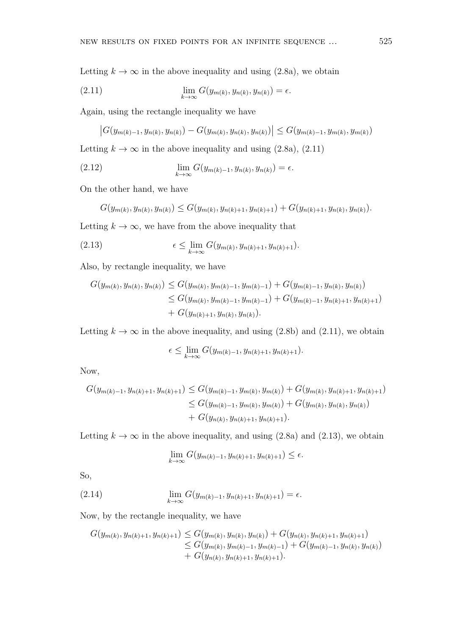Letting  $k \to \infty$  in the above inequality and using (2.8a), we obtain

(2.11) 
$$
\lim_{k \to \infty} G(y_{m(k)}, y_{n(k)}, y_{n(k)}) = \epsilon.
$$

Again, using the rectangle inequality we have

$$
|G(y_{m(k)-1}, y_{n(k)}, y_{n(k)}) - G(y_{m(k)}, y_{n(k)}, y_{n(k)})| \le G(y_{m(k)-1}, y_{m(k)}, y_{m(k)})
$$

Letting  $k \to \infty$  in the above inequality and using (2.8a), (2.11)

(2.12) 
$$
\lim_{k \to \infty} G(y_{m(k)-1}, y_{n(k)}, y_{n(k)}) = \epsilon.
$$

On the other hand, we have

$$
G(y_{m(k)}, y_{n(k)}, y_{n(k)}) \le G(y_{m(k)}, y_{n(k)+1}, y_{n(k)+1}) + G(y_{n(k)+1}, y_{n(k)}, y_{n(k)}).
$$

Letting  $k \to \infty$ , we have from the above inequality that

(2.13) 
$$
\epsilon \leq \lim_{k \to \infty} G(y_{m(k)}, y_{n(k)+1}, y_{n(k)+1}).
$$

Also, by rectangle inequality, we have

$$
G(y_{m(k)}, y_{n(k)}, y_{n(k)}) \le G(y_{m(k)}, y_{m(k)-1}, y_{m(k)-1}) + G(y_{m(k)-1}, y_{n(k)}, y_{n(k)})
$$
  
\n
$$
\le G(y_{m(k)}, y_{m(k)-1}, y_{m(k)-1}) + G(y_{m(k)-1}, y_{n(k)+1}, y_{n(k)+1})
$$
  
\n
$$
+ G(y_{n(k)+1}, y_{n(k)}, y_{n(k)}).
$$

Letting  $k \to \infty$  in the above inequality, and using (2.8b) and (2.11), we obtain

$$
\epsilon \leq \lim_{k \to \infty} G(y_{m(k)-1}, y_{n(k)+1}, y_{n(k)+1}).
$$

Now,

$$
G(y_{m(k)-1}, y_{n(k)+1}, y_{n(k)+1}) \le G(y_{m(k)-1}, y_{m(k)}, y_{m(k)}) + G(y_{m(k)}, y_{n(k)+1}, y_{n(k)+1})
$$
  
\n
$$
\le G(y_{m(k)-1}, y_{m(k)}, y_{m(k)}) + G(y_{m(k)}, y_{n(k)}, y_{n(k)})
$$
  
\n
$$
+ G(y_{n(k)}, y_{n(k)+1}, y_{n(k)+1}).
$$

Letting  $k \to \infty$  in the above inequality, and using (2.8a) and (2.13), we obtain

$$
\lim_{k \to \infty} G(y_{m(k)-1}, y_{n(k)+1}, y_{n(k)+1}) \le \epsilon.
$$

So,

(2.14) 
$$
\lim_{k \to \infty} G(y_{m(k)-1}, y_{n(k)+1}, y_{n(k)+1}) = \epsilon.
$$

Now, by the rectangle inequality, we have

$$
G(y_{m(k)}, y_{n(k)+1}, y_{n(k)+1}) \leq G(y_{m(k)}, y_{n(k)}, y_{n(k)}) + G(y_{n(k)}, y_{n(k)+1}, y_{n(k)+1})
$$
  
\n
$$
\leq G(y_{m(k)}, y_{m(k)-1}, y_{m(k)-1}) + G(y_{m(k)-1}, y_{n(k)}, y_{n(k)})
$$
  
\n
$$
+ G(y_{n(k)}, y_{n(k)+1}, y_{n(k)+1}).
$$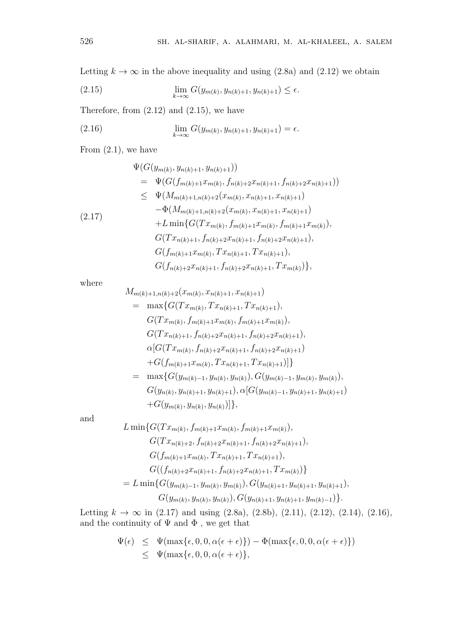Letting  $k \to \infty$  in the above inequality and using (2.8a) and (2.12) we obtain

(2.15) 
$$
\lim_{k \to \infty} G(y_{m(k)}, y_{n(k)+1}, y_{n(k)+1}) \le \epsilon.
$$

Therefore, from  $(2.12)$  and  $(2.15)$ , we have

(2.16) 
$$
\lim_{k \to \infty} G(y_{m(k)}, y_{n(k)+1}, y_{n(k)+1}) = \epsilon.
$$

From  $(2.1)$ , we have

$$
\Psi(G(y_{m(k)}, y_{n(k)+1}, y_{n(k)+1}))
$$
\n
$$
= \Psi(G(f_{m(k)+1}x_{m(k)}, f_{n(k)+2}x_{n(k)+1}, f_{n(k)+2}x_{n(k)+1}))
$$
\n
$$
\leq \Psi(M_{m(k)+1,n(k)+2}(x_{m(k)}, x_{n(k)+1}, x_{n(k)+1})
$$
\n
$$
-\Phi(M_{m(k)+1,n(k)+2}(x_{m(k)}, x_{n(k)+1}, x_{n(k)+1})
$$
\n
$$
+L \min\{G(Tx_{m(k)}, f_{m(k)+1}x_{m(k)}, f_{m(k)+1}x_{m(k)}),
$$
\n
$$
G(Tx_{n(k)+1}, f_{n(k)+2}x_{n(k)+1}, f_{n(k)+2}x_{n(k)+1}),
$$
\n
$$
G(f_{m(k)+1}x_{m(k)}, Tx_{n(k)+1}, Tx_{n(k)+1}, Tx_{m(k)})
$$
\n
$$
G(f_{n(k)+2}x_{n(k)+1}, f_{n(k)+2}x_{n(k)+1}, Tx_{m(k)})
$$

where

$$
M_{m(k)+1,n(k)+2}(x_{m(k)}, x_{n(k)+1}, x_{n(k)+1})
$$
  
=  $\max\{G(Tx_{m(k)}, Tx_{n(k)+1}, Tx_{n(k)+1}),$   
 $G(Tx_{m(k)}, f_{m(k)+1}x_{m(k)}, f_{m(k)+1}x_{m(k)}),$   
 $G(Tx_{n(k)+1}, f_{n(k)+2}x_{n(k)+1}, f_{n(k)+2}x_{n(k)+1}),$   
 $\alpha[G(Tx_{m(k)}, f_{n(k)+2}x_{n(k)+1}, f_{n(k)+2}x_{n(k)+1}) + G(f_{m(k)+1}x_{m(k)}, Tx_{n(k)+1}, Tx_{n(k)+1})]\}$   
=  $\max\{G(y_{m(k)-1}, y_{n(k)}, y_{n(k)}), G(y_{m(k)-1}, y_{m(k)}, y_{m(k)}),$   
 $G(y_{n(k)}, y_{n(k)+1}, y_{n(k)+1}), \alpha[G(y_{m(k)-1}, y_{n(k)+1}, y_{n(k)+1}) + G(y_{m(k)}, y_{n(k)}, y_{n(k)})]\},$ 

and

$$
L \min \{ G(Tx_{m(k)}, f_{m(k)+1}x_{m(k)}, f_{m(k)+1}x_{m(k)}),
$$
  
\n
$$
G(Tx_{n(k)+2}, f_{n(k)+2}x_{n(k)+1}, f_{n(k)+2}x_{n(k)+1}),
$$
  
\n
$$
G(f_{m(k)+1}x_{m(k)}, Tx_{n(k)+1}, Tx_{n(k)+1}),
$$
  
\n
$$
G((f_{n(k)+2}x_{n(k)+1}, f_{n(k)+2}x_{n(k)+1}, Tx_{m(k)})\}
$$
  
\n
$$
= L \min \{ G(y_{m(k)-1}, y_{m(k)}, y_{m(k)}), G(y_{n(k)+1}, y_{n(k)+1}, y_{n(k)+1}),
$$
  
\n
$$
G(y_{m(k)}, y_{n(k)}, y_{n(k)}), G(y_{n(k)+1}, y_{n(k)+1}, y_{m(k)-1}) \}.
$$

Letting  $k \to \infty$  in (2.17) and using (2.8a), (2.8b), (2.11), (2.12), (2.14), (2.16), and the continuity of  $\Psi$  and  $\Phi$ , we get that

$$
\Psi(\epsilon) \leq \Psi(\max{\epsilon, 0, 0, \alpha(\epsilon + \epsilon)}) - \Phi(\max{\epsilon, 0, 0, \alpha(\epsilon + \epsilon)})
$$
  
\$\leq\$ 
$$
\Psi(\max{\epsilon, 0, 0, \alpha(\epsilon + \epsilon)},
$$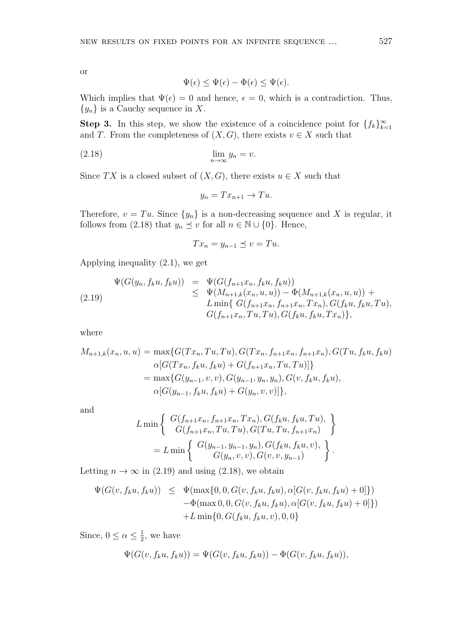or

$$
\Psi(\epsilon) \le \Psi(\epsilon) - \Phi(\epsilon) \le \Psi(\epsilon).
$$

Which implies that  $\Psi(\epsilon) = 0$  and hence,  $\epsilon = 0$ , which is a contradiction. Thus, *{yn}* is a Cauchy sequence in *X*.

**Step 3.** In this step, we show the existence of a coincidence point for  ${f_k}_{k=1}^{\infty}$ and *T*. From the completeness of  $(X, G)$ , there exists  $v \in X$  such that

$$
\lim_{n \to \infty} y_n = v.
$$

Since *TX* is a closed subset of  $(X, G)$ , there exists  $u \in X$  such that

$$
y_n = Tx_{n+1} \to Tu.
$$

Therefore,  $v = Tu$ . Since  $\{y_n\}$  is a non-decreasing sequence and X is regular, it follows from (2.18) that  $y_n \leq v$  for all  $n \in \mathbb{N} \cup \{0\}$ . Hence,

$$
Tx_n = y_{n-1} \preceq v = Tu.
$$

Applying inequality (2.1), we get

$$
\Psi(G(y_n, f_k u, f_k u)) = \Psi(G(f_{n+1} x_n, f_k u, f_k u))
$$
\n
$$
\leq \Psi(M_{n+1,k}(x_n, u, u)) - \Phi(M_{n+1,k}(x_n, u, u)) +
$$
\n
$$
L \min\{ G(f_{n+1} x_n, f_{n+1} x_n, Tx_n), G(f_k u, f_k u, Tu),
$$
\n
$$
G(f_{n+1} x_n, Tu, Tu), G(f_k u, f_k u, Tx_n) \},
$$

where

$$
M_{n+1,k}(x_n, u, u) = \max \{ G(Tx_n, Tu, Tu), G(Tx_n, f_{n+1}x_n, f_{n+1}x_n), G(Tu, f_ku, f_ku) \}
$$
  
\n
$$
\alpha [G(Tx_n, f_ku, f_ku) + G(f_{n+1}x_n, Tu, Tu)] \}
$$
  
\n
$$
= \max \{ G(y_{n-1}, v, v), G(y_{n-1}, y_n, y_n), G(v, f_ku, f_ku),
$$
  
\n
$$
\alpha [G(y_{n-1}, f_ku, f_ku) + G(y_n, v, v)] \},
$$

and

$$
L \min \left\{ \begin{array}{c} G(f_{n+1}x_n, f_{n+1}x_n, Tx_n), G(f_ku, f_ku, Tu), \\ G(f_{n+1}x_n, Tu, Tu), G(Tu, Tu, f_{n+1}x_n) \end{array} \right\}
$$
  
= 
$$
L \min \left\{ \begin{array}{c} G(y_{n-1}, y_{n-1}, y_n), G(f_ku, f_ku, v), \\ G(y_n, v, v), G(v, v, y_{n-1}) \end{array} \right\}.
$$

Letting  $n \to \infty$  in (2.19) and using (2.18), we obtain

$$
\Psi(G(v, f_k u, f_k u)) \leq \Psi(\max\{0, 0, G(v, f_k u, f_k u), \alpha[G(v, f_k u, f_k u) + 0]\})
$$
  
 
$$
- \Phi(\max 0, 0, G(v, f_k u, f_k u), \alpha[G(v, f_k u, f_k u) + 0])
$$
  
 
$$
+ L \min\{0, G(f_k u, f_k u, v), 0, 0\}
$$

Since,  $0 \leq \alpha \leq \frac{1}{2}$  $\frac{1}{2}$ , we have

$$
\Psi(G(v, f_k u, f_k u)) = \Psi(G(v, f_k u, f_k u)) - \Phi(G(v, f_k u, f_k u)),
$$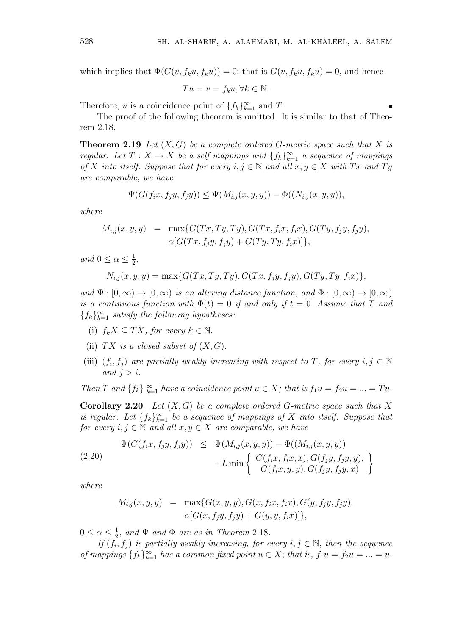which implies that  $\Phi(G(v, f_k u, f_k u)) = 0$ ; that is  $G(v, f_k u, f_k u) = 0$ , and hence

$$
Tu = v = f_k u, \forall k \in \mathbb{N}.
$$

Therefore, *u* is a coincidence point of  $\{f_k\}_{k=1}^{\infty}$  and *T*.

The proof of the following theorem is omitted. It is similar to that of Theorem 2.18.

**Theorem 2.19** *Let*  $(X, G)$  *be a complete ordered G-metric space such that*  $X$  *is regular.* Let  $T: X \to X$  be a self mappings and  $\{f_k\}_{k=1}^{\infty}$  a sequence of mappings *of X into itself.* Suppose that for every  $i, j \in \mathbb{N}$  and all  $x, y \in X$  with  $Tx$  and  $Ty$ *are comparable, we have*

$$
\Psi(G(f_ix, f_jy, f_jy)) \le \Psi(M_{i,j}(x, y, y)) - \Phi((N_{i,j}(x, y, y)),
$$

*where*

$$
M_{i,j}(x, y, y) = \max\{G(Tx, Ty, Ty), G(Tx, f_i x, f_i x), G(Ty, f_j y, f_j y), \\ \alpha[G(Tx, f_j y, f_j y) + G(Ty, Ty, f_i x)]\},\
$$

*and*  $0 \leq \alpha \leq \frac{1}{2}$  $\frac{1}{2}$ 

$$
N_{i,j}(x, y, y) = \max\{G(Tx, Ty, Ty), G(Tx, f_jy, f_jy), G(Ty, Ty, f_ix)\},\
$$

 $\alpha$ *and*  $\Psi : [0, \infty) \to [0, \infty)$  *is an altering distance function, and*  $\Phi : [0, \infty) \to [0, \infty)$ *is a continuous function with*  $\Phi(t) = 0$  *if and only if*  $t = 0$ *. Assume that T* and  ${f_k}_{k=1}^\infty$  *satisfy the following hypotheses:* 

- (i)  $f_k X \subseteq TX$ *, for every*  $k \in \mathbb{N}$ .
- (ii)  $TX$  *is a closed subset of*  $(X, G)$ *.*
- (iii)  $(f_i, f_j)$  are partially weakly increasing with respect to *T*, for every  $i, j \in \mathbb{N}$ *and*  $j > i$ .

*Then T* and  $\{f_k\}_{k=1}^{\infty}$  *have a coincidence point*  $u \in X$ *; that is*  $f_1u = f_2u = ... = Tu$ .

**Corollary 2.20** *Let* (*X, G*) *be a complete ordered G-metric space such that X is regular.* Let  $\{f_k\}_{k=1}^{\infty}$  be a sequence of mappings of X into itself. Suppose that *for every*  $i, j \in \mathbb{N}$  *and all*  $x, y \in X$  *are comparable, we have* 

$$
\Psi(G(f_ix, f_jy, f_jy)) \leq \Psi(M_{i,j}(x, y, y)) - \Phi((M_{i,j}(x, y, y))+L \min \left\{ \begin{array}{l} G(f_ix, f_ix, x), G(f_jy, f_jy, y), \\ G(f_ix, y, y), G(f_jy, f_jy, x) \end{array} \right\}
$$

*where*

$$
M_{i,j}(x, y, y) = \max\{G(x, y, y), G(x, f_i x, f_i x), G(y, f_j y, f_j y), \\ \alpha[G(x, f_j y, f_j y) + G(y, y, f_i x)]\},\
$$

 $0 \leq \alpha \leq \frac{1}{2}$  $\frac{1}{2}$ *, and*  $\Psi$  *and*  $\Phi$  *are as in Theorem* 2.18*.* 

*If*  $(f_i, f_j)$  *is partially weakly increasing, for every*  $i, j \in \mathbb{N}$ *, then the sequence of mappings*  $\{f_k\}_{k=1}^{\infty}$  *has a common fixed point*  $u \in X$ ; *that is,*  $f_1u = f_2u = ... = u$ .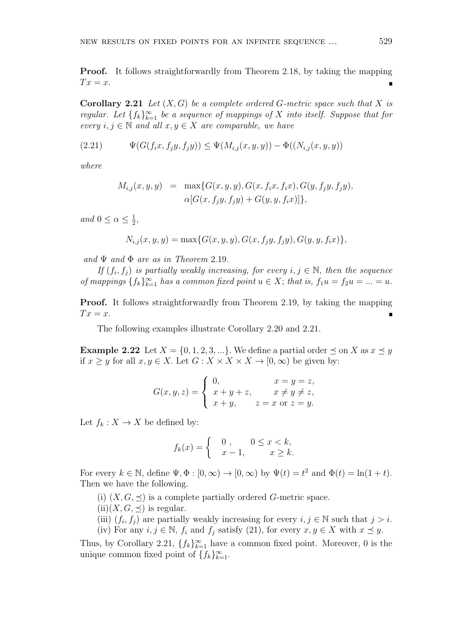**Proof.** It follows straightforwardly from Theorem 2.18, by taking the mapping  $Tx = x$ .

**Corollary 2.21** *Let* (*X, G*) *be a complete ordered G-metric space such that X is regular.* Let  $\{f_k\}_{k=1}^{\infty}$  be a sequence of mappings of X into itself. Suppose that for *every*  $i, j \in \mathbb{N}$  *and all*  $x, y \in X$  *are comparable, we have* 

(2.21) 
$$
\Psi(G(f_i x, f_j y, f_j y)) \leq \Psi(M_{i,j}(x, y, y)) - \Phi((N_{i,j}(x, y, y)))
$$

*where*

$$
M_{i,j}(x, y, y) = \max\{G(x, y, y), G(x, f_i x, f_i x), G(y, f_j y, f_j y), \\ \alpha[G(x, f_j y, f_j y) + G(y, y, f_i x)]\},\
$$

*and*  $0 \leq \alpha \leq \frac{1}{2}$  $\frac{1}{2}$ ,

$$
N_{i,j}(x, y, y) = \max\{G(x, y, y), G(x, f_jy, f_jy), G(y, y, f_ix)\},\
$$

*and* Ψ *and* Φ *are as in Theorem* 2.19*.*

*If*  $(f_i, f_j)$  *is partially weakly increasing, for every*  $i, j \in \mathbb{N}$ *, then the sequence of mappings*  $\{f_k\}_{k=1}^{\infty}$  *has a common fixed point*  $u \in X$ ; *that is,*  $f_1u = f_2u = ... = u$ .

**Proof.** It follows straightforwardly from Theorem 2.19, by taking the mapping  $Tx = x$ .

The following examples illustrate Corollary 2.20 and 2.21.

**Example 2.22** Let  $X = \{0, 1, 2, 3, ...\}$ . We define a partial order  $\preceq$  on  $X$  as  $x \preceq y$ if *x* ≥ *y* for all *x*, *y*  $\in$  *X*. Let *G* : *X* × *X* × *X* → [0, ∞) be given by:

$$
G(x, y, z) = \begin{cases} 0, & x = y = z, \\ x + y + z, & x \neq y \neq z, \\ x + y, & z = x \text{ or } z = y. \end{cases}
$$

Let  $f_k: X \to X$  be defined by:

$$
f_k(x) = \begin{cases} 0, & 0 \le x < k, \\ x - 1, & x \ge k. \end{cases}
$$

For every  $k \in \mathbb{N}$ , define  $\Psi, \Phi : [0, \infty) \to [0, \infty)$  by  $\Psi(t) = t^2$  and  $\Phi(t) = \ln(1 + t)$ . Then we have the following.

(i)  $(X, G, \preceq)$  is a complete partially ordered *G*-metric space.

- $(ii)(X, G, \preceq)$  is regular.
- (iii)  $(f_i, f_j)$  are partially weakly increasing for every  $i, j \in \mathbb{N}$  such that  $j > i$ .
- (iv) For any  $i, j \in \mathbb{N}$ ,  $f_i$  and  $f_j$  satisfy (21), for every  $x, y \in X$  with  $x \preceq y$ .

Thus, by Corollary 2.21,  $\{f_k\}_{k=1}^{\infty}$  have a common fixed point. Moreover, 0 is the unique common fixed point of  $\{f_k\}_{k=1}^{\infty}$ .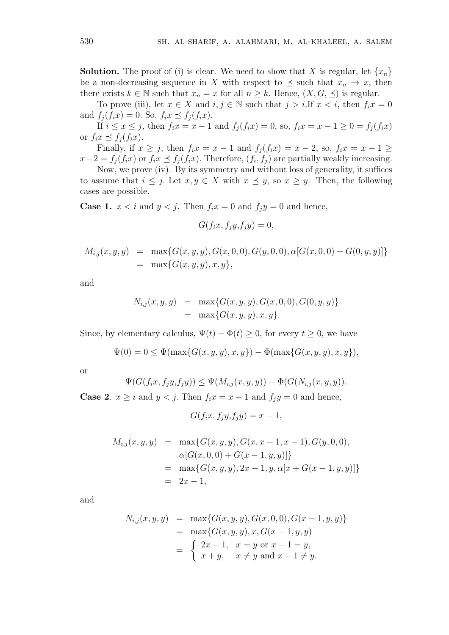**Solution.** The proof of (i) is clear. We need to show that *X* is regular, let  $\{x_n\}$ be a non-decreasing sequence in *X* with respect to  $\preceq$  such that  $x_n \to x$ , then there exists  $k \in \mathbb{N}$  such that  $x_n = x$  for all  $n \geq k$ . Hence,  $(X, G, \preceq)$  is regular.

To prove (iii), let  $x \in X$  and  $i, j \in \mathbb{N}$  such that  $j > i$ . If  $x < i$ , then  $f_i x = 0$ and  $f_i(f_ix) = 0$ . So,  $f_ix \leq f_i(f_ix)$ .

If  $i \leq x \leq j$ , then  $f_i x = x - 1$  and  $f_i(f_i x) = 0$ , so,  $f_i x = x - 1 \geq 0 = f_i(f_i x)$ or  $f_i x \preceq f_i(f_i x)$ .

Finally, if  $x \geq j$ , then  $f_i x = x - 1$  and  $f_j(f_i x) = x - 2$ , so,  $f_i x = x - 1 \geq$  $x-2 = f_j(f_ix)$  or  $f_ix \leq f_j(f_ix)$ . Therefore,  $(f_i, f_j)$  are partially weakly increasing.

Now, we prove (iv). By its symmetry and without loss of generality, it suffices to assume that  $i \leq j$ . Let  $x, y \in X$  with  $x \preceq y$ , so  $x \geq y$ . Then, the following cases are possible.

**Case 1.**  $x < i$  and  $y < j$ . Then  $f_i x = 0$  and  $f_j y = 0$  and hence,

$$
G(f_ix, f_jy, f_jy) = 0,
$$

$$
M_{i,j}(x, y, y) = \max\{G(x, y, y), G(x, 0, 0), G(y, 0, 0), \alpha[G(x, 0, 0) + G(0, y, y)]\}
$$
  
= 
$$
\max\{G(x, y, y), x, y\},
$$

and

$$
N_{i,j}(x, y, y) = \max\{G(x, y, y), G(x, 0, 0), G(0, y, y)\}
$$
  
= 
$$
\max\{G(x, y, y), x, y\}.
$$

Since, by elementary calculus,  $\Psi(t) - \Phi(t) \geq 0$ , for every  $t \geq 0$ , we have

$$
\Psi(0) = 0 \le \Psi(\max\{G(x, y, y), x, y\}) - \Phi(\max\{G(x, y, y), x, y\}),
$$

or

$$
\Psi(G(f_ix, f_jy, f_jy)) \le \Psi(M_{i,j}(x, y, y)) - \Phi(G(N_{i,j}(x, y, y))).
$$
  
is and  $y \le i$ . Then  $f \circ g = x - 1$  and  $f \circ g = 0$  and hence

**Case 2**.  $x \geq i$  and  $y < j$ . Then  $f_i x = x - 1$  and  $f_j y = 0$  and hence,

 $G(f_ix, f_jy, f_jy) = x - 1,$ 

$$
M_{i,j}(x, y, y) = \max\{G(x, y, y), G(x, x - 1, x - 1), G(y, 0, 0),
$$
  
\n
$$
\alpha[G(x, 0, 0) + G(x - 1, y, y)]\}
$$
  
\n
$$
= \max\{G(x, y, y), 2x - 1, y, \alpha[x + G(x - 1, y, y)]\}
$$
  
\n
$$
= 2x - 1,
$$

and

$$
N_{i,j}(x, y, y) = \max\{G(x, y, y), G(x, 0, 0), G(x - 1, y, y)\}
$$
  
= 
$$
\max\{G(x, y, y), x, G(x - 1, y, y)\}
$$
  
= 
$$
\begin{cases} 2x - 1, & x = y \text{ or } x - 1 = y, \\ x + y, & x \neq y \text{ and } x - 1 \neq y. \end{cases}
$$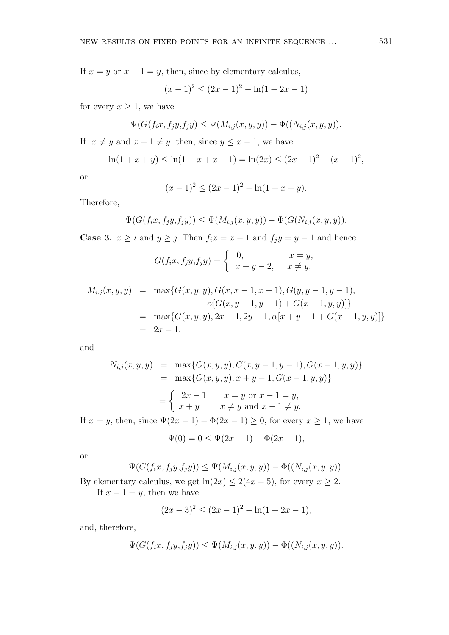If  $x = y$  or  $x - 1 = y$ , then, since by elementary calculus,

$$
(x-1)^2 \le (2x-1)^2 - \ln(1+2x-1)
$$

for every  $x \geq 1$ , we have

$$
\Psi(G(f_ix, f_jy, f_jy) \leq \Psi(M_{i,j}(x, y, y)) - \Phi((N_{i,j}(x, y, y)).
$$

If  $x \neq y$  and  $x - 1 \neq y$ , then, since  $y \leq x - 1$ , we have

$$
\ln(1+x+y) \le \ln(1+x+x-1) = \ln(2x) \le (2x-1)^2 - (x-1)^2,
$$

or

$$
(x-1)^2 \le (2x-1)^2 - \ln(1+x+y).
$$

Therefore,

$$
\Psi(G(f_ix, f_jy, f_jy)) \leq \Psi(M_{i,j}(x, y, y)) - \Phi(G(N_{i,j}(x, y, y)).
$$

**Case 3.**  $x \ge i$  and  $y \ge j$ . Then  $f_i x = x - 1$  and  $f_j y = y - 1$  and hence

$$
G(f_ix, f_jy, f_jy) = \begin{cases} 0, & x = y, \\ x + y - 2, & x \neq y, \end{cases}
$$

$$
M_{i,j}(x, y, y) = \max\{G(x, y, y), G(x, x - 1, x - 1), G(y, y - 1, y - 1),
$$
  
\n
$$
\alpha[G(x, y - 1, y - 1) + G(x - 1, y, y)]\}
$$
  
\n
$$
= \max\{G(x, y, y), 2x - 1, 2y - 1, \alpha[x + y - 1 + G(x - 1, y, y)]\}
$$
  
\n
$$
= 2x - 1,
$$

and

$$
N_{i,j}(x, y, y) = \max\{G(x, y, y), G(x, y - 1, y - 1), G(x - 1, y, y)\}
$$
  
= 
$$
\max\{G(x, y, y), x + y - 1, G(x - 1, y, y)\}
$$
  
= 
$$
\begin{cases} 2x - 1 & x = y \text{ or } x - 1 = y, \\ x + y & x \neq y \text{ and } x - 1 \neq y. \end{cases}
$$

If  $x = y$ , then, since  $\Psi(2x - 1) - \Phi(2x - 1) \geq 0$ , for every  $x \geq 1$ , we have

$$
\Psi(0) = 0 \le \Psi(2x - 1) - \Phi(2x - 1),
$$

or

$$
\Psi(G(f_ix, f_jy, f_jy)) \leq \Psi(M_{i,j}(x, y, y)) - \Phi((N_{i,j}(x, y, y)).
$$

By elementary calculus, we get  $ln(2x) \leq 2(4x-5)$ , for every  $x \geq 2$ .

If  $x - 1 = y$ , then we have

$$
(2x-3)^2 \le (2x-1)^2 - \ln(1+2x-1),
$$

and, therefore,

$$
\Psi(G(f_ix, f_jy, f_jy)) \leq \Psi(M_{i,j}(x, y, y)) - \Phi((N_{i,j}(x, y, y)).
$$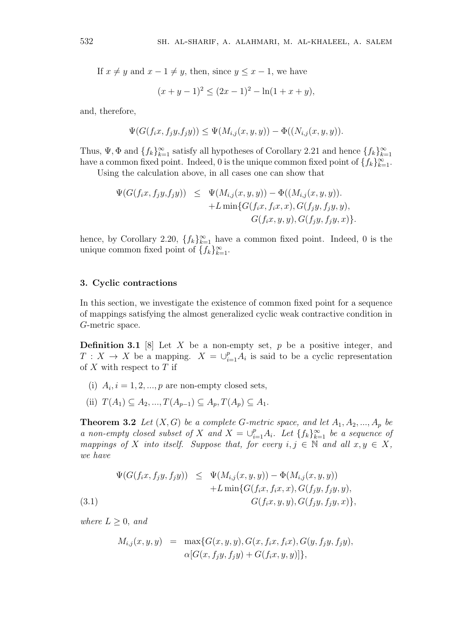If  $x \neq y$  and  $x - 1 \neq y$ , then, since  $y \leq x - 1$ , we have

$$
(x+y-1)^2 \le (2x-1)^2 - \ln(1+x+y),
$$

and, therefore,

$$
\Psi(G(f_ix, f_jy, f_jy)) \leq \Psi(M_{i,j}(x, y, y)) - \Phi((N_{i,j}(x, y, y)).
$$

Thus,  $\Psi$ ,  $\Phi$  and  $\{f_k\}_{k=1}^{\infty}$  satisfy all hypotheses of Corollary 2.21 and hence  $\{f_k\}_{k=1}^{\infty}$ have a common fixed point. Indeed, 0 is the unique common fixed point of  $\{f_k\}_{k=1}^{\infty}$ .

Using the calculation above, in all cases one can show that

$$
\Psi(G(f_ix, f_jy, f_jy)) \leq \Psi(M_{i,j}(x, y, y)) - \Phi((M_{i,j}(x, y, y)).+L \min\{G(f_ix, f_ix, x), G(f_jy, f_jy, y), G(f_jy, f_jy, x)\}.
$$

hence, by Corollary 2.20,  $\{f_k\}_{k=1}^{\infty}$  have a common fixed point. Indeed, 0 is the unique common fixed point of  $\{f_k\}_{k=1}^{\infty}$ .

#### **3. Cyclic contractions**

In this section, we investigate the existence of common fixed point for a sequence of mappings satisfying the almost generalized cyclic weak contractive condition in *G*-metric space.

**Definition 3.1** [8] Let *X* be a non-empty set, *p* be a positive integer, and *T* : *X* → *X* be a mapping.  $X = \bigcup_{i=1}^{p} A_i$  is said to be a cyclic representation of *X* with respect to *T* if

- (i)  $A_i$ ,  $i = 1, 2, ..., p$  are non-empty closed sets,
- $(T(H_1) \subseteq A_2, ..., T(A_{n-1}) \subseteq A_n, T(A_n) \subseteq A_1$ .

**Theorem 3.2** *Let*  $(X, G)$  *be a complete G-metric space, and let*  $A_1, A_2, ..., A_p$  *be a non-empty closed subset of X and*  $X = \bigcup_{i=1}^{p} A_i$ *. Let*  $\{f_k\}_{k=1}^{\infty}$  *be a sequence of mappings of X into itself.* Suppose that, for every  $i, j \in \mathbb{N}$  and all  $x, y \in X$ , *we have*

(3.1)  
\n
$$
\Psi(G(f_ix, f_jy, f_jy)) \leq \Psi(M_{i,j}(x, y, y)) - \Phi(M_{i,j}(x, y, y)) + L \min\{G(f_ix, f_ix, x), G(f_jy, f_jy, y), G(f_jy, f_jy, x)\},\
$$

*where*  $L \geq 0$ *, and* 

$$
M_{i,j}(x, y, y) = \max\{G(x, y, y), G(x, f_i x, f_i x), G(y, f_j y, f_j y), \\ \alpha[G(x, f_j y, f_j y) + G(f_i x, y, y)]\},\
$$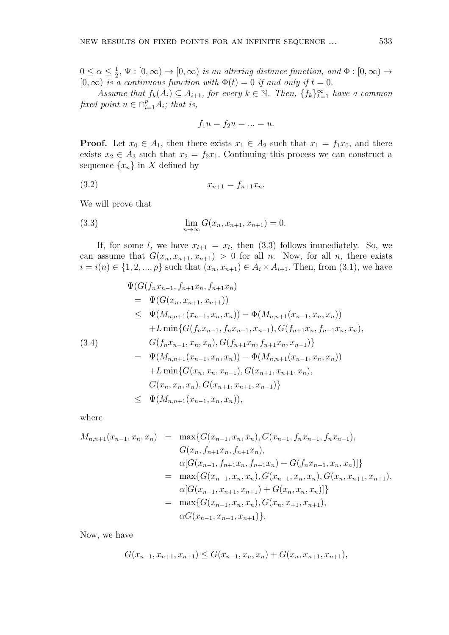$0 \leq \alpha \leq \frac{1}{2}$  $\frac{1}{2}$ ,  $\Psi : [0, \infty) \to [0, \infty)$  *is an altering distance function, and*  $\Phi : [0, \infty) \to$  $[0, \infty)$  *is a continuous function with*  $\Phi(t) = 0$  *if and only if*  $t = 0$ *.* 

*Assume that*  $f_k(A_i) \subseteq A_{i+1}$ , for every  $k \in \mathbb{N}$ . Then,  $\{f_k\}_{k=1}^{\infty}$  have a common *fixed point*  $u \in \bigcap_{i=1}^p A_i$ ; that is,

$$
f_1u = f_2u = \ldots = u.
$$

**Proof.** Let  $x_0 \in A_1$ , then there exists  $x_1 \in A_2$  such that  $x_1 = f_1x_0$ , and there exists  $x_2 \in A_3$  such that  $x_2 = f_2x_1$ . Continuing this process we can construct a sequence  $\{x_n\}$  in *X* defined by

$$
(3.2) \t\t x_{n+1} = f_{n+1}x_n.
$$

We will prove that

(3.3) 
$$
\lim_{n \to \infty} G(x_n, x_{n+1}, x_{n+1}) = 0.
$$

If, for some *l*, we have  $x_{l+1} = x_l$ , then (3.3) follows immediately. So, we can assume that  $G(x_n, x_{n+1}, x_{n+1}) > 0$  for all *n*. Now, for all *n*, there exists *i* = *i*(*n*) ∈ {1, 2, ..., *p*} such that  $(x_n, x_{n+1})$  ∈  $A_i \times A_{i+1}$ . Then, from (3.1), we have

$$
\Psi(G(f_n x_{n-1}, f_{n+1} x_n, f_{n+1} x_n))
$$
\n
$$
= \Psi(G(x_n, x_{n+1}, x_{n+1}))
$$
\n
$$
\leq \Psi(M_{n,n+1}(x_{n-1}, x_n, x_n)) - \Phi(M_{n,n+1}(x_{n-1}, x_n, x_n))
$$
\n
$$
+ L \min\{G(f_n x_{n-1}, f_n x_{n-1}, x_{n-1}), G(f_{n+1} x_n, f_{n+1} x_n, x_n),
$$
\n(3.4)\n
$$
G(f_n x_{n-1}, x_n, x_n), G(f_{n+1} x_n, f_{n+1} x_n, x_{n-1})\}
$$
\n
$$
= \Psi(M_{n,n+1}(x_{n-1}, x_n, x_n)) - \Phi(M_{n,n+1}(x_{n-1}, x_n, x_n))
$$
\n
$$
+ L \min\{G(x_n, x_n, x_{n-1}), G(x_{n+1}, x_{n+1}, x_n),
$$
\n
$$
G(x_n, x_n, x_n), G(x_{n+1}, x_{n+1}, x_{n-1})\}
$$
\n
$$
\leq \Psi(M_{n,n+1}(x_{n-1}, x_n, x_n)),
$$

where

$$
M_{n,n+1}(x_{n-1}, x_n, x_n) = \max\{G(x_{n-1}, x_n, x_n), G(x_{n-1}, f_n x_{n-1}, f_n x_{n-1}),
$$
  
\n
$$
G(x_n, f_{n+1} x_n, f_{n+1} x_n),
$$
  
\n
$$
\alpha[G(x_{n-1}, f_{n+1} x_n, f_{n+1} x_n) + G(f_n x_{n-1}, x_n, x_n)]\}
$$
  
\n
$$
= \max\{G(x_{n-1}, x_n, x_n), G(x_{n-1}, x_n, x_n), G(x_n, x_{n+1}, x_{n+1}),
$$
  
\n
$$
\alpha[G(x_{n-1}, x_{n+1}, x_{n+1}) + G(x_n, x_n, x_n)]\}
$$
  
\n
$$
= \max\{G(x_{n-1}, x_n, x_n), G(x_n, x_{n+1}, x_{n+1}),
$$
  
\n
$$
\alpha G(x_{n-1}, x_{n+1}, x_{n+1})\}.
$$

Now, we have

$$
G(x_{n-1}, x_{n+1}, x_{n+1}) \le G(x_{n-1}, x_n, x_n) + G(x_n, x_{n+1}, x_{n+1}),
$$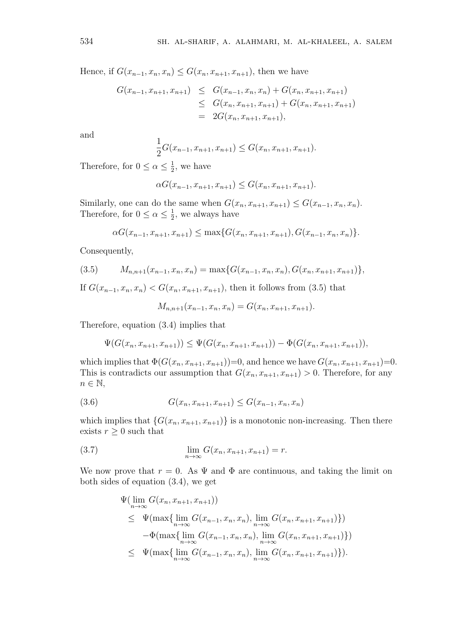Hence, if  $G(x_{n-1}, x_n, x_n)$  ≤  $G(x_n, x_{n+1}, x_{n+1})$ , then we have

$$
G(x_{n-1}, x_{n+1}, x_{n+1}) \leq G(x_{n-1}, x_n, x_n) + G(x_n, x_{n+1}, x_{n+1})
$$
  
\n
$$
\leq G(x_n, x_{n+1}, x_{n+1}) + G(x_n, x_{n+1}, x_{n+1})
$$
  
\n
$$
= 2G(x_n, x_{n+1}, x_{n+1}),
$$

and

$$
\frac{1}{2}G(x_{n-1}, x_{n+1}, x_{n+1}) \le G(x_n, x_{n+1}, x_{n+1}).
$$

Therefore, for  $0 \leq \alpha \leq \frac{1}{2}$  $\frac{1}{2}$ , we have

$$
\alpha G(x_{n-1}, x_{n+1}, x_{n+1}) \le G(x_n, x_{n+1}, x_{n+1}).
$$

Similarly, one can do the same when  $G(x_n, x_{n+1}, x_{n+1}) \le G(x_{n-1}, x_n, x_n)$ . Therefore, for  $0 \leq \alpha \leq \frac{1}{2}$  $\frac{1}{2}$ , we always have

$$
\alpha G(x_{n-1}, x_{n+1}, x_{n+1}) \leq \max\{G(x_n, x_{n+1}, x_{n+1}), G(x_{n-1}, x_n, x_n)\}.
$$

Consequently,

$$
(3.5) \qquad M_{n,n+1}(x_{n-1},x_n,x_n) = \max\{G(x_{n-1},x_n,x_n),G(x_n,x_{n+1},x_{n+1})\},\,
$$

If  $G(x_{n-1}, x_n, x_n) < G(x_n, x_{n+1}, x_{n+1})$ , then it follows from (3.5) that

$$
M_{n,n+1}(x_{n-1},x_n,x_n) = G(x_n,x_{n+1},x_{n+1}).
$$

Therefore, equation (3.4) implies that

$$
\Psi(G(x_n, x_{n+1}, x_{n+1})) \leq \Psi(G(x_n, x_{n+1}, x_{n+1})) - \Phi(G(x_n, x_{n+1}, x_{n+1})),
$$

which implies that  $\Phi(G(x_n, x_{n+1}, x_{n+1}))=0$ , and hence we have  $G(x_n, x_{n+1}, x_{n+1})=0$ . This is contradicts our assumption that  $G(x_n, x_{n+1}, x_{n+1}) > 0$ . Therefore, for any *n ∈* N*,*

(3.6) 
$$
G(x_n, x_{n+1}, x_{n+1}) \le G(x_{n-1}, x_n, x_n)
$$

which implies that  $\{G(x_n, x_{n+1}, x_{n+1})\}$  is a monotonic non-increasing. Then there exists  $r \geq 0$  such that

(3.7) 
$$
\lim_{n \to \infty} G(x_n, x_{n+1}, x_{n+1}) = r.
$$

We now prove that  $r = 0$ . As  $\Psi$  and  $\Phi$  are continuous, and taking the limit on both sides of equation (3.4), we get

$$
\Psi(\lim_{n\to\infty} G(x_n, x_{n+1}, x_{n+1}))
$$
\n
$$
\leq \Psi(\max\{\lim_{n\to\infty} G(x_{n-1}, x_n, x_n), \lim_{n\to\infty} G(x_n, x_{n+1}, x_{n+1})\})
$$
\n
$$
-\Phi(\max\{\lim_{n\to\infty} G(x_{n-1}, x_n, x_n), \lim_{n\to\infty} G(x_n, x_{n+1}, x_{n+1})\})
$$
\n
$$
\leq \Psi(\max\{\lim_{n\to\infty} G(x_{n-1}, x_n, x_n), \lim_{n\to\infty} G(x_n, x_{n+1}, x_{n+1})\}).
$$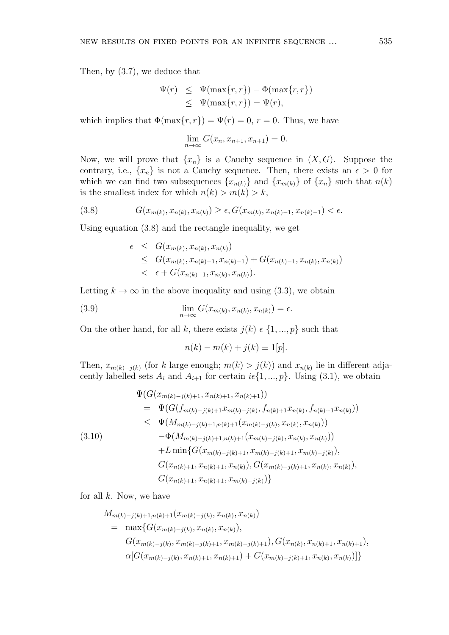Then, by (3.7), we deduce that

$$
\Psi(r) \leq \Psi(\max\{r, r\}) - \Phi(\max\{r, r\})
$$
  

$$
\leq \Psi(\max\{r, r\}) = \Psi(r),
$$

which implies that  $\Phi(\max\{r, r\}) = \Psi(r) = 0, r = 0$ . Thus, we have

$$
\lim_{n \to \infty} G(x_n, x_{n+1}, x_{n+1}) = 0.
$$

Now, we will prove that  $\{x_n\}$  is a Cauchy sequence in  $(X, G)$ . Suppose the contrary, i.e.,  $\{x_n\}$  is not a Cauchy sequence. Then, there exists an  $\epsilon > 0$  for which we can find two subsequences  $\{x_{n(k)}\}$  and  $\{x_{m(k)}\}$  of  $\{x_n\}$  such that  $n(k)$ is the smallest index for which  $n(k) > m(k) > k$ ,

$$
(3.8) \tG(x_{m(k)}, x_{n(k)}, x_{n(k)}) \ge \epsilon, G(x_{m(k)}, x_{n(k)-1}, x_{n(k)-1}) < \epsilon.
$$

Using equation (3.8) and the rectangle inequality, we get

$$
\epsilon \leq G(x_{m(k)}, x_{n(k)}, x_{n(k)})
$$
  
\n
$$
\leq G(x_{m(k)}, x_{n(k)-1}, x_{n(k)-1}) + G(x_{n(k)-1}, x_{n(k)}, x_{n(k)})
$$
  
\n
$$
\epsilon + G(x_{n(k)-1}, x_{n(k)}, x_{n(k)}).
$$

Letting  $k \to \infty$  in the above inequality and using (3.3), we obtain

(3.9) 
$$
\lim_{n \to \infty} G(x_{m(k)}, x_{n(k)}, x_{n(k)}) = \epsilon.
$$

On the other hand, for all *k*, there exists  $j(k) \in \{1, ..., p\}$  such that

$$
n(k) - m(k) + j(k) \equiv 1[p].
$$

Then,  $x_{m(k)-j(k)}$  (for *k* large enough;  $m(k) > j(k)$ ) and  $x_{n(k)}$  lie in different adjacently labelled sets  $A_i$  and  $A_{i+1}$  for certain  $i \in \{1, ..., p\}$ . Using (3.1), we obtain

$$
\Psi(G(x_{m(k)-j(k)+1}, x_{n(k)+1}, x_{n(k)+1}))
$$
\n
$$
= \Psi(G(f_{m(k)-j(k)+1}x_{m(k)-j(k)}, f_{n(k)+1}x_{n(k)}, f_{n(k)+1}x_{n(k)}))
$$
\n
$$
\leq \Psi(M_{m(k)-j(k)+1,n(k)+1}(x_{m(k)-j(k)}, x_{n(k)}, x_{n(k)}))
$$
\n(3.10)\n
$$
-\Phi(M_{m(k)-j(k)+1,n(k)+1}(x_{m(k)-j(k)}, x_{n(k)}, x_{n(k)}))
$$
\n
$$
+L \min\{G(x_{m(k)-j(k)+1}, x_{m(k)-j(k)+1}, x_{m(k)-j(k)}), G(x_{n(k)+1}, x_{n(k)}, x_{n(k)}), G(x_{m(k)+1}, x_{n(k)+1}, x_{m(k)-j(k)})\}
$$

for all *k*. Now, we have

$$
M_{m(k)-j(k)+1,n(k)+1}(x_{m(k)-j(k)}, x_{n(k)}, x_{n(k)})
$$
  
= 
$$
\max\{G(x_{m(k)-j(k)}, x_{n(k)}, x_{n(k)}),
$$
  

$$
G(x_{m(k)-j(k)}, x_{m(k)-j(k)+1}, x_{m(k)-j(k)+1}), G(x_{n(k)}, x_{n(k)+1}, x_{n(k)+1}),
$$
  

$$
\alpha[G(x_{m(k)-j(k)}, x_{n(k)+1}, x_{n(k)+1}) + G(x_{m(k)-j(k)+1}, x_{n(k)}, x_{n(k)})]\}
$$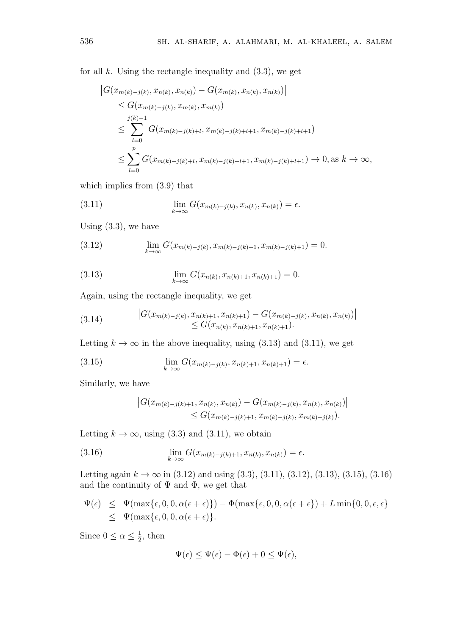for all  $k$ . Using the rectangle inequality and  $(3.3)$ , we get

$$
\begin{aligned}\n\left| G(x_{m(k)-j(k)}, x_{n(k)}, x_{n(k)}) - G(x_{m(k)}, x_{n(k)}, x_{n(k)}) \right| \\
&\leq G(x_{m(k)-j(k)}, x_{m(k)}, x_{m(k)}) \\
&\leq \sum_{l=0}^{j(k)-1} G(x_{m(k)-j(k)+l}, x_{m(k)-j(k)+l+1}, x_{m(k)-j(k)+l+1}) \\
&\leq \sum_{l=0}^{p} G(x_{m(k)-j(k)+l}, x_{m(k)-j(k)+l+1}, x_{m(k)-j(k)+l+1}) \to 0, \text{as } k \to \infty,\n\end{aligned}
$$

which implies from (3.9) that

(3.11) 
$$
\lim_{k \to \infty} G(x_{m(k)-j(k)}, x_{n(k)}, x_{n(k)}) = \epsilon.
$$

Using (3.3), we have

(3.12) 
$$
\lim_{k \to \infty} G(x_{m(k)-j(k)}, x_{m(k)-j(k)+1}, x_{m(k)-j(k)+1}) = 0.
$$

(3.13) 
$$
\lim_{k \to \infty} G(x_{n(k)}, x_{n(k)+1}, x_{n(k)+1}) = 0.
$$

Again, using the rectangle inequality, we get

(3.14) 
$$
|G(x_{m(k)-j(k)}, x_{n(k)+1}, x_{n(k)+1}) - G(x_{m(k)-j(k)}, x_{n(k)}, x_{n(k)})| \leq G(x_{n(k)}, x_{n(k)+1}, x_{n(k)+1}).
$$

Letting  $k \to \infty$  in the above inequality, using (3.13) and (3.11), we get

(3.15) 
$$
\lim_{k \to \infty} G(x_{m(k)-j(k)}, x_{n(k)+1}, x_{n(k)+1}) = \epsilon.
$$

Similarly, we have

$$
\left| G(x_{m(k)-j(k)+1}, x_{n(k)}, x_{n(k)}) - G(x_{m(k)-j(k)}, x_{n(k)}, x_{n(k)}) \right|
$$
  
\n
$$
\leq G(x_{m(k)-j(k)+1}, x_{m(k)-j(k)}, x_{m(k)-j(k)}).
$$

Letting  $k \to \infty$ , using (3.3) and (3.11), we obtain

(3.16) 
$$
\lim_{k \to \infty} G(x_{m(k)-j(k)+1}, x_{n(k)}, x_{n(k)}) = \epsilon.
$$

Letting again  $k \to \infty$  in (3.12) and using (3.3), (3.11), (3.12), (3.13), (3.15), (3.16) and the continuity of  $\Psi$  and  $\Phi$ , we get that

$$
\Psi(\epsilon) \leq \Psi(\max{\epsilon, 0, 0, \alpha(\epsilon + \epsilon)}) - \Phi(\max{\epsilon, 0, 0, \alpha(\epsilon + \epsilon)}) + L \min{0, 0, \epsilon, \epsilon}
$$
  

$$
\leq \Psi(\max{\epsilon, 0, 0, \alpha(\epsilon + \epsilon)}.
$$

Since  $0 \leq \alpha \leq \frac{1}{2}$  $\frac{1}{2}$ , then

$$
\Psi(\epsilon) \le \Psi(\epsilon) - \Phi(\epsilon) + 0 \le \Psi(\epsilon),
$$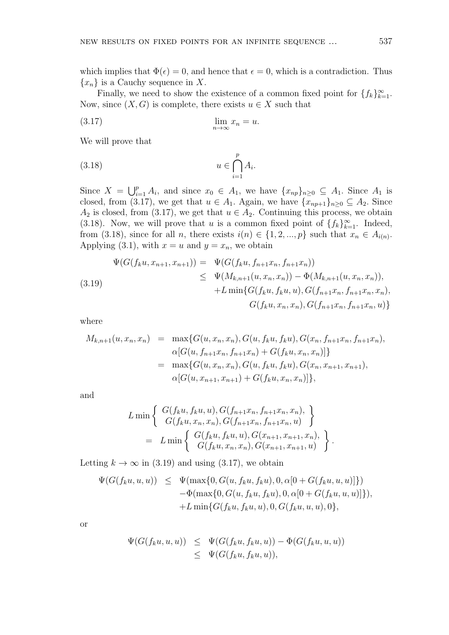which implies that  $\Phi(\epsilon) = 0$ , and hence that  $\epsilon = 0$ , which is a contradiction. Thus *{xn}* is a Cauchy sequence in *X*.

Finally, we need to show the existence of a common fixed point for  $\{f_k\}_{k=1}^{\infty}$ . Now, since  $(X, G)$  is complete, there exists  $u \in X$  such that

$$
\lim_{n \to \infty} x_n = u.
$$

We will prove that

$$
(3.18) \t u \in \bigcap_{i=1}^p A_i.
$$

Since  $X = \bigcup_{i=1}^{p} A_i$ , and since  $x_0 \in A_1$ , we have  $\{x_{np}\}_{n\geq 0} \subseteq A_1$ . Since  $A_1$  is closed, from (3.17), we get that  $u \in A_1$ . Again, we have  $\{x_{np+1}\}_{n>0} \subseteq A_2$ . Since  $A_2$  is closed, from (3.17), we get that  $u \in A_2$ . Continuing this process, we obtain (3.18). Now, we will prove that *u* is a common fixed point of  $\{f_k\}_{k=1}^{\infty}$ . Indeed, from (3.18), since for all *n*, there exists  $i(n) \in \{1, 2, ..., p\}$  such that  $x_n \in A_{i(n)}$ . Applying (3.1), with  $x = u$  and  $y = x_n$ , we obtain

$$
\Psi(G(f_k u, x_{n+1}, x_{n+1})) = \Psi(G(f_k u, f_{n+1} x_n, f_{n+1} x_n))
$$
\n
$$
\leq \Psi(M_{k,n+1}(u, x_n, x_n)) - \Phi(M_{k,n+1}(u, x_n, x_n)),
$$
\n
$$
+ L \min\{G(f_k u, f_k u, u), G(f_{n+1} x_n, f_{n+1} x_n, x_n), G(f_{n+1} x_n, f_{n+1} x_n, u)\}
$$

where

$$
M_{k,n+1}(u, x_n, x_n) = \max \{ G(u, x_n, x_n), G(u, f_k u, f_k u), G(x_n, f_{n+1} x_n, f_{n+1} x_n),
$$
  
\n
$$
\alpha [G(u, f_{n+1} x_n, f_{n+1} x_n) + G(f_k u, x_n, x_n)] \}
$$
  
\n
$$
= \max \{ G(u, x_n, x_n), G(u, f_k u, f_k u), G(x_n, x_{n+1}, x_{n+1}),
$$
  
\n
$$
\alpha [G(u, x_{n+1}, x_{n+1}) + G(f_k u, x_n, x_n)] \},
$$

and

$$
L \min \left\{ \begin{array}{l} G(f_k u, f_k u, u), G(f_{n+1} x_n, f_{n+1} x_n, x_n), \\ G(f_k u, x_n, x_n), G(f_{n+1} x_n, f_{n+1} x_n, u) \end{array} \right\}
$$
  
= 
$$
L \min \left\{ \begin{array}{l} G(f_k u, f_k u, u), G(x_{n+1}, x_{n+1}, x_n), \\ G(f_k u, x_n, x_n), G(x_{n+1}, x_{n+1}, u) \end{array} \right\}.
$$

Letting  $k \to \infty$  in (3.19) and using (3.17), we obtain

$$
\Psi(G(f_ku, u, u)) \leq \Psi(\max\{0, G(u, f_ku, f_ku), 0, \alpha[0 + G(f_ku, u, u)]\})
$$
  
 
$$
- \Phi(\max\{0, G(u, f_ku, f_ku), 0, \alpha[0 + G(f_ku, u, u)]\}),
$$
  
 
$$
+ L \min\{G(f_ku, f_ku, u), 0, G(f_ku, u, u), 0\},
$$

or

$$
\Psi(G(f_ku, u, u)) \leq \Psi(G(f_ku, f_ku, u)) - \Phi(G(f_ku, u, u))
$$
  

$$
\leq \Psi(G(f_ku, f_ku, u)),
$$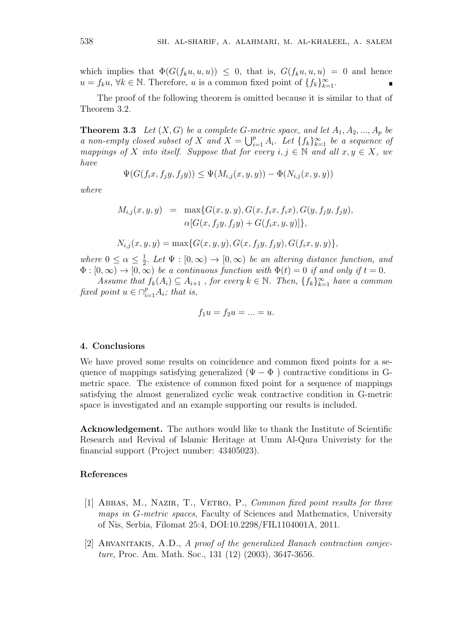which implies that  $\Phi(G(f_ku, u, u)) \leq 0$ , that is,  $G(f_ku, u, u) = 0$  and hence *u* = *f<sub>k</sub>u*, ∀*k* ∈ N. Therefore, *u* is a common fixed point of  $\{f_k\}_{k=1}^{\infty}$ .

The proof of the following theorem is omitted because it is similar to that of Theorem 3.2.

**Theorem 3.3** *Let*  $(X, G)$  *be a complete G-metric space, and let*  $A_1, A_2, ..., A_p$  *be a non-empty closed subset of X and*  $X = \bigcup_{i=1}^{p} A_i$ *. Let*  $\{f_k\}_{k=1}^{\infty}$  *be a sequence of mappings of X into itself.* Suppose that for every  $i, j \in \mathbb{N}$  and all  $x, y \in X$ , we *have*

$$
\Psi(G(f_ix, f_jy, f_jy)) \le \Psi(M_{i,j}(x, y, y)) - \Phi(N_{i,j}(x, y, y))
$$

*where*

$$
M_{i,j}(x, y, y) = \max\{G(x, y, y), G(x, f_i x, f_i x), G(y, f_j y, f_j y), \\ \alpha[G(x, f_j y, f_j y) + G(f_i x, y, y)]\},\
$$

$$
N_{i,j}(x, y, y) = \max\{G(x, y, y), G(x, f_jy, f_jy), G(f_ix, y, y)\},\
$$

*where*  $0 \leq \alpha \leq \frac{1}{2}$  $\frac{1}{2}$ *. Let*  $\Psi : [0, \infty) \to [0, \infty)$  *be an altering distance function, and*  $\Phi : [0, \infty) \to [0, \infty)$  *be a continuous function with*  $\Phi(t) = 0$  *if and only if*  $t = 0$ *.* 

*Assume that*  $f_k(A_i) \subseteq A_{i+1}$ , for every  $k \in \mathbb{N}$ . Then,  $\{f_k\}_{k=1}^{\infty}$  have a common *fixed point*  $u \in \bigcap_{i=1}^p A_i$ *; that is,* 

$$
f_1u = f_2u = \ldots = u.
$$

#### **4. Conclusions**

We have proved some results on coincidence and common fixed points for a sequence of mappings satisfying generalized ( $\Psi - \Phi$ ) contractive conditions in Gmetric space. The existence of common fixed point for a sequence of mappings satisfying the almost generalized cyclic weak contractive condition in G-metric space is investigated and an example supporting our results is included.

**Acknowledgement.** The authors would like to thank the Institute of Scientific Research and Revival of Islamic Heritage at Umm Al-Qura Univeristy for the financial support (Project number: 43405023).

# **References**

- [1] ABBAS, M., NAZIR, T., VETRO, P., *Common fixed point results for three maps in G-metric spaces*, Faculty of Sciences and Mathematics, University of Nis, Serbia, Filomat 25:4, DOI:10.2298/FIL1104001A, 2011.
- [2] Arvanitakis, A.D., *A proof of the generalized Banach contraction conjecture*, Proc. Am. Math. Soc., 131 (12) (2003), 3647-3656.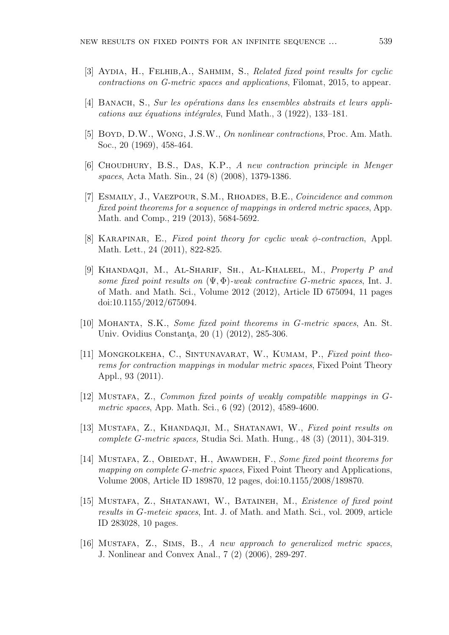- [3] Aydia, H., Felhib,A., Sahmim, S., *Related fixed point results for cyclic contractions on G-metric spaces and applications*, Filomat, 2015, to appear.
- [4] BANACH, S., *Sur les opérations dans les ensembles abstraits et leurs applications aux équations intégrales*, Fund Math., 3 (1922), 133–181.
- [5] Boyd, D.W., Wong, J.S.W., *On nonlinear contractions*, Proc. Am. Math. Soc., 20 (1969), 458-464.
- [6] Choudhury, B.S., Das, K.P., *A new contraction principle in Menger spaces*, Acta Math. Sin., 24 (8) (2008), 1379-1386.
- [7] Esmaily, J., Vaezpour, S.M., Rhoades, B.E., *Coincidence and common fixed point theorems for a sequence of mappings in ordered metric spaces*, App. Math. and Comp., 219 (2013), 5684-5692.
- [8] Karapinar, E., *Fixed point theory for cyclic weak ϕ-contraction*, Appl. Math. Lett., 24 (2011), 822-825.
- [9] Khandaqji, M., Al-Sharif, Sh., Al-Khaleel, M., *Property P and some fixed point results on* (Ψ*,* Φ)*-weak contractive G-metric spaces*, Int. J. of Math. and Math. Sci., Volume 2012 (2012), Article ID 675094, 11 pages doi:10.1155/2012/675094.
- [10] Mohanta, S.K., *Some fixed point theorems in G-metric spaces*, An. St. Univ. Ovidius Constanta, 20 (1) (2012), 285-306.
- [11] MONGKOLKEHA, C., SINTUNAVARAT, W., KUMAM, P., *Fixed point theorems for contraction mappings in modular metric spaces*, Fixed Point Theory Appl., 93 (2011).
- [12] Mustafa, Z., *Common fixed points of weakly compatible mappings in Gmetric spaces*, App. Math. Sci., 6 (92) (2012), 4589-4600.
- [13] Mustafa, Z., Khandaqji, M., Shatanawi, W., *Fixed point results on complete G-metric spaces,* Studia Sci. Math. Hung., 48 (3) (2011), 304-319.
- [14] MUSTAFA, Z., OBIEDAT, H., AWAWDEH, F., *Some fixed point theorems for mapping on complete G-metric spaces*, Fixed Point Theory and Applications, Volume 2008, Article ID 189870, 12 pages, doi:10.1155/2008/189870.
- [15] Mustafa, Z., Shatanawi, W., Bataineh, M., *Existence of fixed point results in G-meteic spaces*, Int. J. of Math. and Math. Sci., vol. 2009, article ID 283028, 10 pages.
- [16] Mustafa, Z., Sims, B., *A new approach to generalized metric spaces*, J. Nonlinear and Convex Anal., 7 (2) (2006), 289-297.